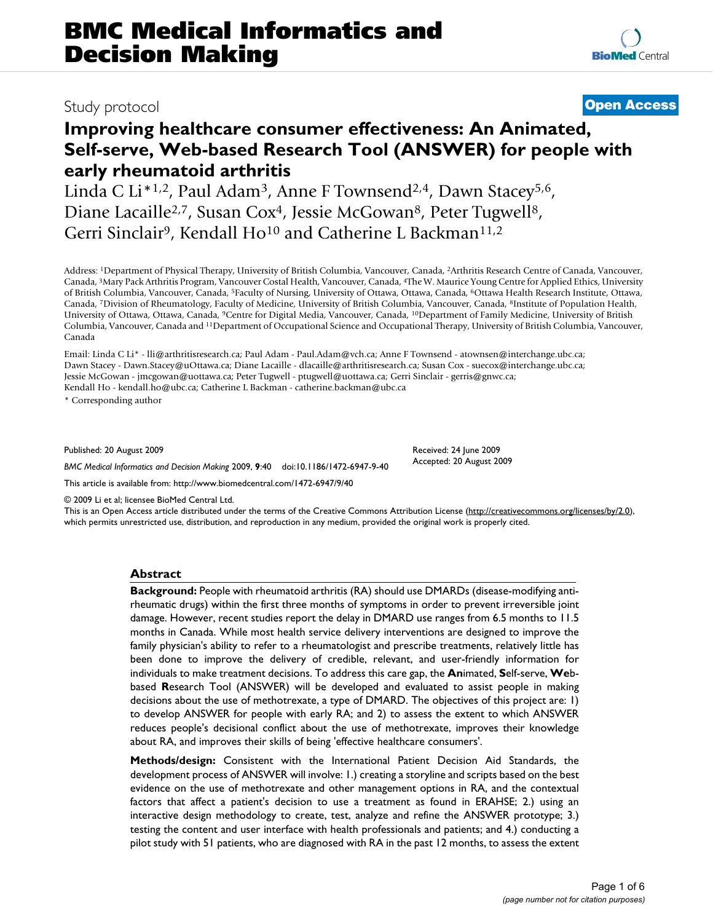# Study protocol **[Open Access](http://www.biomedcentral.com/info/about/charter/)**

## **Improving healthcare consumer effectiveness: An Animated, Self-serve, Web-based Research Tool (ANSWER) for people with early rheumatoid arthritis**

Linda C Li\*1,2, Paul Adam<sup>3</sup>, Anne F Townsend<sup>2,4</sup>, Dawn Stacey<sup>5,6</sup>, Diane Lacaille<sup>2,7</sup>, Susan Cox<sup>4</sup>, Jessie McGowan<sup>8</sup>, Peter Tugwell<sup>8</sup>, Gerri Sinclair<sup>9</sup>, Kendall Ho<sup>10</sup> and Catherine L Backman<sup>11,2</sup>

Address: 1Department of Physical Therapy, University of British Columbia, Vancouver, Canada, 2Arthritis Research Centre of Canada, Vancouver, Canada, 3Mary Pack Arthritis Program, Vancouver Costal Health, Vancouver, Canada, 4The W. Maurice Young Centre for Applied Ethics, University of British Columbia, Vancouver, Canada, 5Faculty of Nursing, University of Ottawa, Ottawa, Canada, 6Ottawa Health Research Institute, Ottawa, Canada, 7Division of Rheumatology, Faculty of Medicine, University of British Columbia, Vancouver, Canada, 8Institute of Population Health, University of Ottawa, Ottawa, Canada, 9Centre for Digital Media, Vancouver, Canada, 10Department of Family Medicine, University of British Columbia, Vancouver, Canada and 11Department of Occupational Science and Occupational Therapy, University of British Columbia, Vancouver, Canada

Email: Linda C Li\* - lli@arthritisresearch.ca; Paul Adam - Paul.Adam@vch.ca; Anne F Townsend - atownsen@interchange.ubc.ca; Dawn Stacey - Dawn.Stacey@uOttawa.ca; Diane Lacaille - dlacaille@arthritisresearch.ca; Susan Cox - suecox@interchange.ubc.ca; Jessie McGowan - jmcgowan@uottawa.ca; Peter Tugwell - ptugwell@uottawa.ca; Gerri Sinclair - gerris@gnwc.ca; Kendall Ho - kendall.ho@ubc.ca; Catherine L Backman - catherine.backman@ubc.ca

\* Corresponding author

Published: 20 August 2009

*BMC Medical Informatics and Decision Making* 2009, **9**:40 doi:10.1186/1472-6947-9-40

[This article is available from: http://www.biomedcentral.com/1472-6947/9/40](http://www.biomedcentral.com/1472-6947/9/40)

© 2009 Li et al; licensee BioMed Central Ltd.

This is an Open Access article distributed under the terms of the Creative Commons Attribution License [\(http://creativecommons.org/licenses/by/2.0\)](http://creativecommons.org/licenses/by/2.0), which permits unrestricted use, distribution, and reproduction in any medium, provided the original work is properly cited.

Received: 24 June 2009 Accepted: 20 August 2009

#### **Abstract**

**Background:** People with rheumatoid arthritis (RA) should use DMARDs (disease-modifying antirheumatic drugs) within the first three months of symptoms in order to prevent irreversible joint damage. However, recent studies report the delay in DMARD use ranges from 6.5 months to 11.5 months in Canada. While most health service delivery interventions are designed to improve the family physician's ability to refer to a rheumatologist and prescribe treatments, relatively little has been done to improve the delivery of credible, relevant, and user-friendly information for individuals to make treatment decisions. To address this care gap, the **An**imated, **S**elf-serve, **We**bbased **R**esearch Tool (ANSWER) will be developed and evaluated to assist people in making decisions about the use of methotrexate, a type of DMARD. The objectives of this project are: 1) to develop ANSWER for people with early RA; and 2) to assess the extent to which ANSWER reduces people's decisional conflict about the use of methotrexate, improves their knowledge about RA, and improves their skills of being 'effective healthcare consumers'.

**Methods/design:** Consistent with the International Patient Decision Aid Standards, the development process of ANSWER will involve: 1.) creating a storyline and scripts based on the best evidence on the use of methotrexate and other management options in RA, and the contextual factors that affect a patient's decision to use a treatment as found in ERAHSE; 2.) using an interactive design methodology to create, test, analyze and refine the ANSWER prototype; 3.) testing the content and user interface with health professionals and patients; and 4.) conducting a pilot study with 51 patients, who are diagnosed with RA in the past 12 months, to assess the extent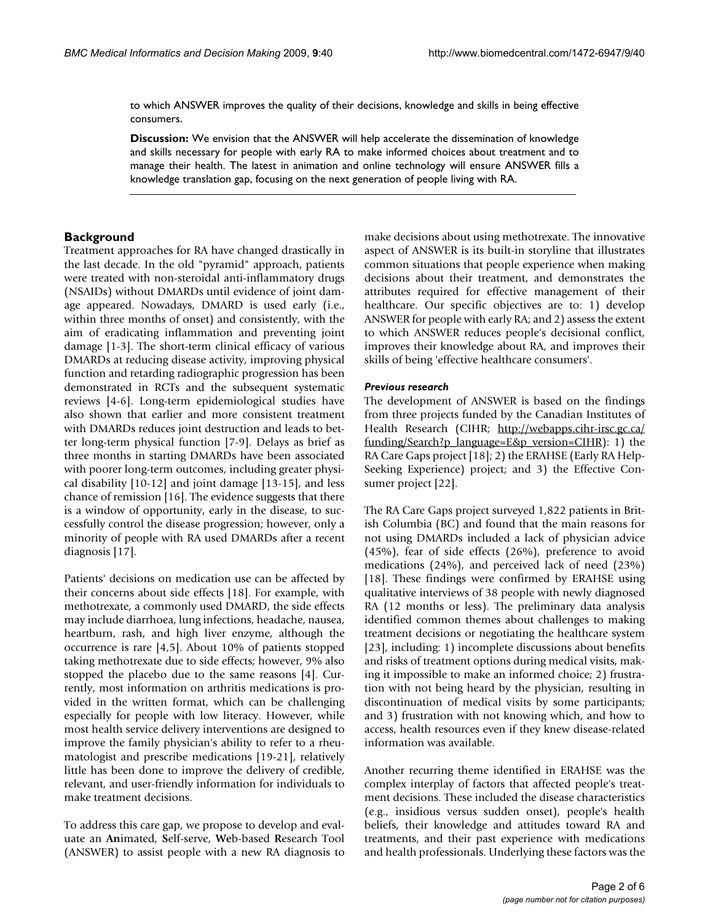to which ANSWER improves the quality of their decisions, knowledge and skills in being effective consumers.

**Discussion:** We envision that the ANSWER will help accelerate the dissemination of knowledge and skills necessary for people with early RA to make informed choices about treatment and to manage their health. The latest in animation and online technology will ensure ANSWER fills a knowledge translation gap, focusing on the next generation of people living with RA.

### **Background**

Treatment approaches for RA have changed drastically in the last decade. In the old "pyramid" approach, patients were treated with non-steroidal anti-inflammatory drugs (NSAIDs) without DMARDs until evidence of joint damage appeared. Nowadays, DMARD is used early (i.e., within three months of onset) and consistently, with the aim of eradicating inflammation and preventing joint damage [1-3]. The short-term clinical efficacy of various DMARDs at reducing disease activity, improving physical function and retarding radiographic progression has been demonstrated in RCTs and the subsequent systematic reviews [4-6]. Long-term epidemiological studies have also shown that earlier and more consistent treatment with DMARDs reduces joint destruction and leads to better long-term physical function [7-9]. Delays as brief as three months in starting DMARDs have been associated with poorer long-term outcomes, including greater physical disability [10-12] and joint damage [13-15], and less chance of remission [16]. The evidence suggests that there is a window of opportunity, early in the disease, to successfully control the disease progression; however, only a minority of people with RA used DMARDs after a recent diagnosis [17].

Patients' decisions on medication use can be affected by their concerns about side effects [18]. For example, with methotrexate, a commonly used DMARD, the side effects may include diarrhoea, lung infections, headache, nausea, heartburn, rash, and high liver enzyme, although the occurrence is rare [4,5]. About 10% of patients stopped taking methotrexate due to side effects; however, 9% also stopped the placebo due to the same reasons [4]. Currently, most information on arthritis medications is provided in the written format, which can be challenging especially for people with low literacy. However, while most health service delivery interventions are designed to improve the family physician's ability to refer to a rheumatologist and prescribe medications [19-21], relatively little has been done to improve the delivery of credible, relevant, and user-friendly information for individuals to make treatment decisions.

To address this care gap, we propose to develop and evaluate an **An**imated, **S**elf-serve, **We**b-based **R**esearch Tool (ANSWER) to assist people with a new RA diagnosis to

make decisions about using methotrexate. The innovative aspect of ANSWER is its built-in storyline that illustrates common situations that people experience when making decisions about their treatment, and demonstrates the attributes required for effective management of their healthcare. Our specific objectives are to: 1) develop ANSWER for people with early RA; and 2) assess the extent to which ANSWER reduces people's decisional conflict, improves their knowledge about RA, and improves their skills of being 'effective healthcare consumers'.

#### *Previous research*

The development of ANSWER is based on the findings from three projects funded by the Canadian Institutes of Health Research (CIHR; [http://webapps.cihr-irsc.gc.ca/](http://webapps.cihr-irsc.gc.ca/funding/Search?p_language=E&p_version=CIHR) [funding/Search?p\\_language=E&p\\_version=CIHR](http://webapps.cihr-irsc.gc.ca/funding/Search?p_language=E&p_version=CIHR)): 1) the RA Care Gaps project [18]; 2) the ERAHSE (Early RA Help-Seeking Experience) project; and 3) the Effective Consumer project [22].

The RA Care Gaps project surveyed 1,822 patients in British Columbia (BC) and found that the main reasons for not using DMARDs included a lack of physician advice (45%), fear of side effects (26%), preference to avoid medications (24%), and perceived lack of need (23%) [18]. These findings were confirmed by ERAHSE using qualitative interviews of 38 people with newly diagnosed RA (12 months or less). The preliminary data analysis identified common themes about challenges to making treatment decisions or negotiating the healthcare system [23], including: 1) incomplete discussions about benefits and risks of treatment options during medical visits, making it impossible to make an informed choice; 2) frustration with not being heard by the physician, resulting in discontinuation of medical visits by some participants; and 3) frustration with not knowing which, and how to access, health resources even if they knew disease-related information was available.

Another recurring theme identified in ERAHSE was the complex interplay of factors that affected people's treatment decisions. These included the disease characteristics (e.g., insidious versus sudden onset), people's health beliefs, their knowledge and attitudes toward RA and treatments, and their past experience with medications and health professionals. Underlying these factors was the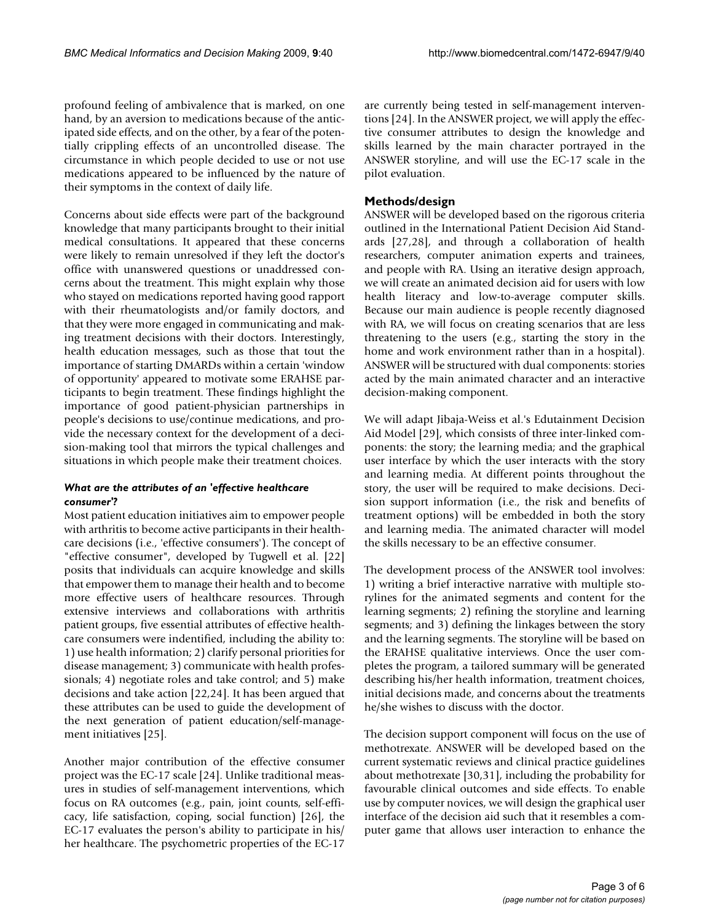profound feeling of ambivalence that is marked, on one hand, by an aversion to medications because of the anticipated side effects, and on the other, by a fear of the potentially crippling effects of an uncontrolled disease. The circumstance in which people decided to use or not use medications appeared to be influenced by the nature of their symptoms in the context of daily life.

Concerns about side effects were part of the background knowledge that many participants brought to their initial medical consultations. It appeared that these concerns were likely to remain unresolved if they left the doctor's office with unanswered questions or unaddressed concerns about the treatment. This might explain why those who stayed on medications reported having good rapport with their rheumatologists and/or family doctors, and that they were more engaged in communicating and making treatment decisions with their doctors. Interestingly, health education messages, such as those that tout the importance of starting DMARDs within a certain 'window of opportunity' appeared to motivate some ERAHSE participants to begin treatment. These findings highlight the importance of good patient-physician partnerships in people's decisions to use/continue medications, and provide the necessary context for the development of a decision-making tool that mirrors the typical challenges and situations in which people make their treatment choices.

#### *What are the attributes of an 'effective healthcare consumer'?*

Most patient education initiatives aim to empower people with arthritis to become active participants in their healthcare decisions (i.e., 'effective consumers'). The concept of "effective consumer", developed by Tugwell et al. [22] posits that individuals can acquire knowledge and skills that empower them to manage their health and to become more effective users of healthcare resources. Through extensive interviews and collaborations with arthritis patient groups, five essential attributes of effective healthcare consumers were indentified, including the ability to: 1) use health information; 2) clarify personal priorities for disease management; 3) communicate with health professionals; 4) negotiate roles and take control; and 5) make decisions and take action [22,24]. It has been argued that these attributes can be used to guide the development of the next generation of patient education/self-management initiatives [25].

Another major contribution of the effective consumer project was the EC-17 scale [24]. Unlike traditional measures in studies of self-management interventions, which focus on RA outcomes (e.g., pain, joint counts, self-efficacy, life satisfaction, coping, social function) [26], the EC-17 evaluates the person's ability to participate in his/ her healthcare. The psychometric properties of the EC-17

are currently being tested in self-management interventions [24]. In the ANSWER project, we will apply the effective consumer attributes to design the knowledge and skills learned by the main character portrayed in the ANSWER storyline, and will use the EC-17 scale in the pilot evaluation.

#### **Methods/design**

ANSWER will be developed based on the rigorous criteria outlined in the International Patient Decision Aid Standards [27,28], and through a collaboration of health researchers, computer animation experts and trainees, and people with RA. Using an iterative design approach, we will create an animated decision aid for users with low health literacy and low-to-average computer skills. Because our main audience is people recently diagnosed with RA, we will focus on creating scenarios that are less threatening to the users (e.g., starting the story in the home and work environment rather than in a hospital). ANSWER will be structured with dual components: stories acted by the main animated character and an interactive decision-making component.

We will adapt Jibaja-Weiss et al.'s Edutainment Decision Aid Model [29], which consists of three inter-linked components: the story; the learning media; and the graphical user interface by which the user interacts with the story and learning media. At different points throughout the story, the user will be required to make decisions. Decision support information (i.e., the risk and benefits of treatment options) will be embedded in both the story and learning media. The animated character will model the skills necessary to be an effective consumer.

The development process of the ANSWER tool involves: 1) writing a brief interactive narrative with multiple storylines for the animated segments and content for the learning segments; 2) refining the storyline and learning segments; and 3) defining the linkages between the story and the learning segments. The storyline will be based on the ERAHSE qualitative interviews. Once the user completes the program, a tailored summary will be generated describing his/her health information, treatment choices, initial decisions made, and concerns about the treatments he/she wishes to discuss with the doctor.

The decision support component will focus on the use of methotrexate. ANSWER will be developed based on the current systematic reviews and clinical practice guidelines about methotrexate [30,31], including the probability for favourable clinical outcomes and side effects. To enable use by computer novices, we will design the graphical user interface of the decision aid such that it resembles a computer game that allows user interaction to enhance the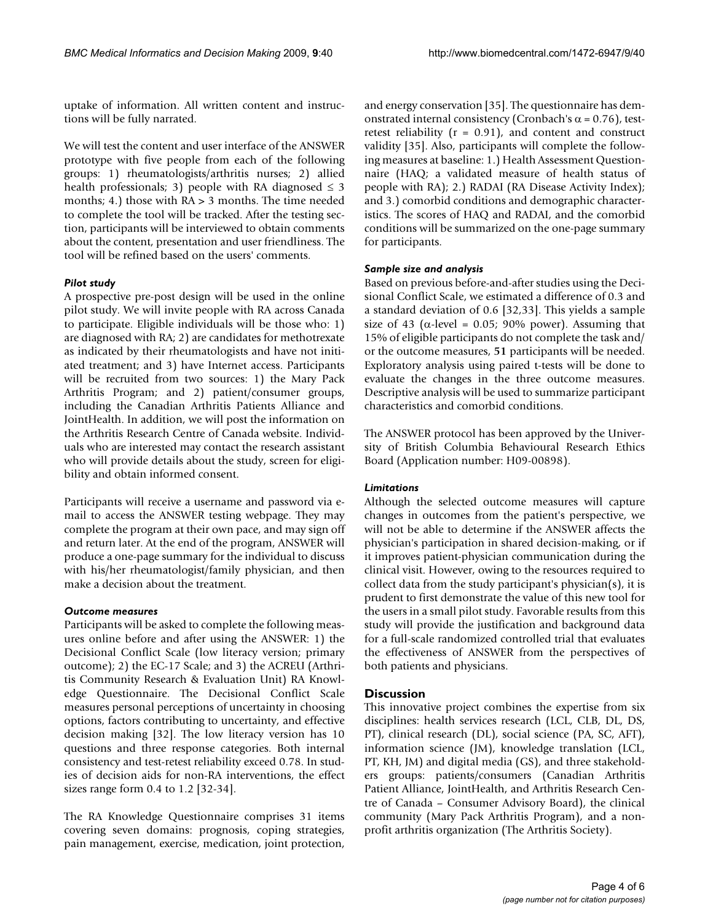uptake of information. All written content and instructions will be fully narrated.

We will test the content and user interface of the ANSWER prototype with five people from each of the following groups: 1) rheumatologists/arthritis nurses; 2) allied health professionals; 3) people with RA diagnosed  $\leq$  3 months; 4.) those with  $RA > 3$  months. The time needed to complete the tool will be tracked. After the testing section, participants will be interviewed to obtain comments about the content, presentation and user friendliness. The tool will be refined based on the users' comments.

#### *Pilot study*

A prospective pre-post design will be used in the online pilot study. We will invite people with RA across Canada to participate. Eligible individuals will be those who: 1) are diagnosed with RA; 2) are candidates for methotrexate as indicated by their rheumatologists and have not initiated treatment; and 3) have Internet access. Participants will be recruited from two sources: 1) the Mary Pack Arthritis Program; and 2) patient/consumer groups, including the Canadian Arthritis Patients Alliance and JointHealth. In addition, we will post the information on the Arthritis Research Centre of Canada website. Individuals who are interested may contact the research assistant who will provide details about the study, screen for eligibility and obtain informed consent.

Participants will receive a username and password via email to access the ANSWER testing webpage. They may complete the program at their own pace, and may sign off and return later. At the end of the program, ANSWER will produce a one-page summary for the individual to discuss with his/her rheumatologist/family physician, and then make a decision about the treatment.

#### *Outcome measures*

Participants will be asked to complete the following measures online before and after using the ANSWER: 1) the Decisional Conflict Scale (low literacy version; primary outcome); 2) the EC-17 Scale; and 3) the ACREU (Arthritis Community Research & Evaluation Unit) RA Knowledge Questionnaire. The Decisional Conflict Scale measures personal perceptions of uncertainty in choosing options, factors contributing to uncertainty, and effective decision making [32]. The low literacy version has 10 questions and three response categories. Both internal consistency and test-retest reliability exceed 0.78. In studies of decision aids for non-RA interventions, the effect sizes range form 0.4 to 1.2 [32-34].

The RA Knowledge Questionnaire comprises 31 items covering seven domains: prognosis, coping strategies, pain management, exercise, medication, joint protection,

and energy conservation [35]. The questionnaire has demonstrated internal consistency (Cronbach's  $\alpha$  = 0.76), testretest reliability  $(r = 0.91)$ , and content and construct validity [35]. Also, participants will complete the following measures at baseline: 1.) Health Assessment Questionnaire (HAQ; a validated measure of health status of people with RA); 2.) RADAI (RA Disease Activity Index); and 3.) comorbid conditions and demographic characteristics. The scores of HAQ and RADAI, and the comorbid conditions will be summarized on the one-page summary for participants.

#### *Sample size and analysis*

Based on previous before-and-after studies using the Decisional Conflict Scale, we estimated a difference of 0.3 and a standard deviation of 0.6 [32,33]. This yields a sample size of 43 ( $\alpha$ -level = 0.05; 90% power). Assuming that 15% of eligible participants do not complete the task and/ or the outcome measures, **51** participants will be needed. Exploratory analysis using paired t-tests will be done to evaluate the changes in the three outcome measures. Descriptive analysis will be used to summarize participant characteristics and comorbid conditions.

The ANSWER protocol has been approved by the University of British Columbia Behavioural Research Ethics Board (Application number: H09-00898).

#### *Limitations*

Although the selected outcome measures will capture changes in outcomes from the patient's perspective, we will not be able to determine if the ANSWER affects the physician's participation in shared decision-making, or if it improves patient-physician communication during the clinical visit. However, owing to the resources required to collect data from the study participant's physician(s), it is prudent to first demonstrate the value of this new tool for the users in a small pilot study. Favorable results from this study will provide the justification and background data for a full-scale randomized controlled trial that evaluates the effectiveness of ANSWER from the perspectives of both patients and physicians.

#### **Discussion**

This innovative project combines the expertise from six disciplines: health services research (LCL, CLB, DL, DS, PT), clinical research (DL), social science (PA, SC, AFT), information science (JM), knowledge translation (LCL, PT, KH, JM) and digital media (GS), and three stakeholders groups: patients/consumers (Canadian Arthritis Patient Alliance, JointHealth, and Arthritis Research Centre of Canada – Consumer Advisory Board), the clinical community (Mary Pack Arthritis Program), and a nonprofit arthritis organization (The Arthritis Society).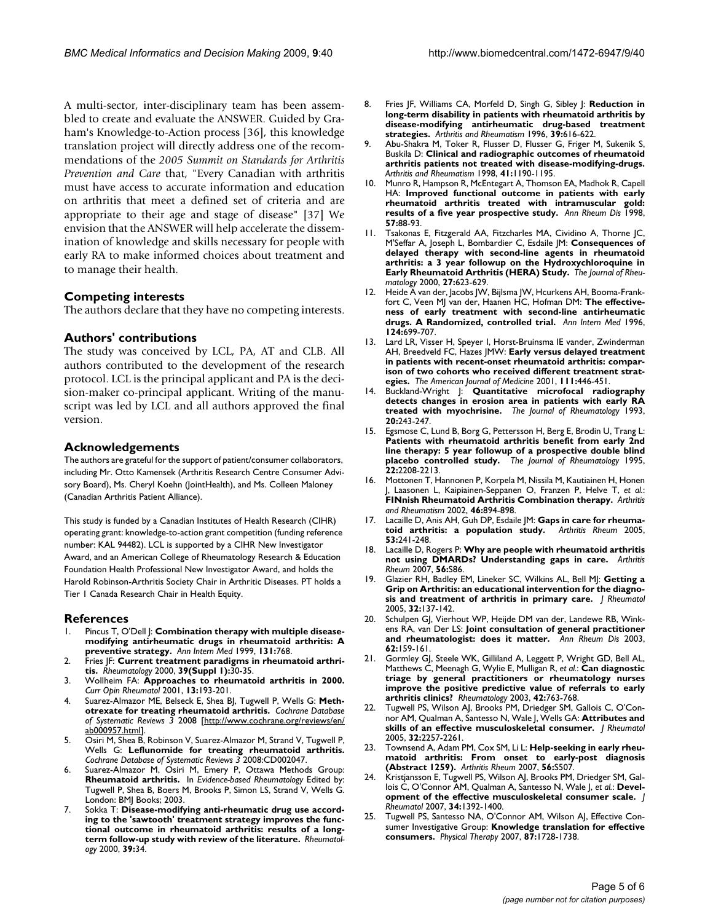A multi-sector, inter-disciplinary team has been assembled to create and evaluate the ANSWER. Guided by Graham's Knowledge-to-Action process [36], this knowledge translation project will directly address one of the recommendations of the *2005 Summit on Standards for Arthritis Prevention and Care* that, "Every Canadian with arthritis must have access to accurate information and education on arthritis that meet a defined set of criteria and are appropriate to their age and stage of disease" [37] We envision that the ANSWER will help accelerate the dissemination of knowledge and skills necessary for people with early RA to make informed choices about treatment and to manage their health.

#### **Competing interests**

The authors declare that they have no competing interests.

#### **Authors' contributions**

The study was conceived by LCL, PA, AT and CLB. All authors contributed to the development of the research protocol. LCL is the principal applicant and PA is the decision-maker co-principal applicant. Writing of the manuscript was led by LCL and all authors approved the final version.

#### **Acknowledgements**

The authors are grateful for the support of patient/consumer collaborators, including Mr. Otto Kamensek (Arthritis Research Centre Consumer Advisory Board), Ms. Cheryl Koehn (JointHealth), and Ms. Colleen Maloney (Canadian Arthritis Patient Alliance).

This study is funded by a Canadian Institutes of Health Research (CIHR) operating grant: knowledge-to-action grant competition (funding reference number: KAL 94482). LCL is supported by a CIHR New Investigator Award, and an American College of Rheumatology Research & Education Foundation Health Professional New Investigator Award, and holds the Harold Robinson-Arthritis Society Chair in Arthritic Diseases. PT holds a Tier 1 Canada Research Chair in Health Equity.

#### **References**

- Pincus T, O'Dell J: **[Combination therapy with multiple disease](http://www.ncbi.nlm.nih.gov/entrez/query.fcgi?cmd=Retrieve&db=PubMed&dopt=Abstract&list_uids=10577301)[modifying antirheumatic drugs in rheumatoid arthritis: A](http://www.ncbi.nlm.nih.gov/entrez/query.fcgi?cmd=Retrieve&db=PubMed&dopt=Abstract&list_uids=10577301) [preventive strategy.](http://www.ncbi.nlm.nih.gov/entrez/query.fcgi?cmd=Retrieve&db=PubMed&dopt=Abstract&list_uids=10577301)** *Ann Intern Med* 1999, **131:**768.
- 2. Fries JF: **[Current treatment paradigms in rheumatoid arthri](http://www.ncbi.nlm.nih.gov/entrez/query.fcgi?cmd=Retrieve&db=PubMed&dopt=Abstract&list_uids=11001377)[tis.](http://www.ncbi.nlm.nih.gov/entrez/query.fcgi?cmd=Retrieve&db=PubMed&dopt=Abstract&list_uids=11001377)** *Rheumatology* 2000, **39(Suppl 1):**30-35.
- 3. Wollheim FA: **[Approaches to rheumatoid arthritis in 2000.](http://www.ncbi.nlm.nih.gov/entrez/query.fcgi?cmd=Retrieve&db=PubMed&dopt=Abstract&list_uids=11333348)** *Curr Opin Rheumatol* 2001, **13:**193-201.
- 4. Suarez-Almazor ME, Belseck E, Shea BJ, Tugwell P, Wells G: **Methotrexate for treating rheumatoid arthritis.** *Cochrane Database of Systematic Reviews 3* 2008 [\[http://www.cochrane.org/reviews/en/](http://www.cochrane.org/reviews/en/ab000957.html) [ab000957.html\]](http://www.cochrane.org/reviews/en/ab000957.html).
- Osiri M, Shea B, Robinson V, Suarez-Almazor M, Strand V, Tugwell P, Wells G: **Leflunomide for treating rheumatoid arthritis.** *Cochrane Database of Systematic Reviews 3* 2008:CD002047.
- Suarez-Almazor M, Osiri M, Emery P, Ottawa Methods Group: **Rheumatoid arthritis.** In *Evidence-based Rheumatology* Edited by: Tugwell P, Shea B, Boers M, Brooks P, Simon LS, Strand V, Wells G. London: BMJ Books; 2003.
- 7. Sokka T: **[Disease-modifying anti-rheumatic drug use accord](http://www.ncbi.nlm.nih.gov/entrez/query.fcgi?cmd=Retrieve&db=PubMed&dopt=Abstract&list_uids=10662871)[ing to the 'sawtooth' treatment strategy improves the func](http://www.ncbi.nlm.nih.gov/entrez/query.fcgi?cmd=Retrieve&db=PubMed&dopt=Abstract&list_uids=10662871)tional outcome in rheumatoid arthritis: results of a long[term follow-up study with review of the literature.](http://www.ncbi.nlm.nih.gov/entrez/query.fcgi?cmd=Retrieve&db=PubMed&dopt=Abstract&list_uids=10662871)** *Rheumatology* 2000, **39:**34.
- 8. Fries JF, Williams CA, Morfeld D, Singh G, Sibley J: **[Reduction in](http://www.ncbi.nlm.nih.gov/entrez/query.fcgi?cmd=Retrieve&db=PubMed&dopt=Abstract&list_uids=8630111) [long-term disability in patients with rheumatoid arthritis by](http://www.ncbi.nlm.nih.gov/entrez/query.fcgi?cmd=Retrieve&db=PubMed&dopt=Abstract&list_uids=8630111) disease-modifying antirheumatic drug-based treatment [strategies.](http://www.ncbi.nlm.nih.gov/entrez/query.fcgi?cmd=Retrieve&db=PubMed&dopt=Abstract&list_uids=8630111)** *Arthritis and Rheumatism* 1996, **39:**616-622.
- 9. Abu-Shakra M, Toker R, Flusser D, Flusser G, Friger M, Sukenik S, Buskila D: **[Clinical and radiographic outcomes of rheumatoid](http://www.ncbi.nlm.nih.gov/entrez/query.fcgi?cmd=Retrieve&db=PubMed&dopt=Abstract&list_uids=9663474) [arthritis patients not treated with disease-modifying-drugs.](http://www.ncbi.nlm.nih.gov/entrez/query.fcgi?cmd=Retrieve&db=PubMed&dopt=Abstract&list_uids=9663474)** *Arthritis and Rheumatism* 1998, **41:**1190-1195.
- 10. Munro R, Hampson R, McEntegart A, Thomson EA, Madhok R, Capell HA: **[Improved functional outcome in patients with early](http://www.ncbi.nlm.nih.gov/entrez/query.fcgi?cmd=Retrieve&db=PubMed&dopt=Abstract&list_uids=9613337) [rheumatoid arthritis treated with intramuscular gold:](http://www.ncbi.nlm.nih.gov/entrez/query.fcgi?cmd=Retrieve&db=PubMed&dopt=Abstract&list_uids=9613337) [results of a five year prospective study.](http://www.ncbi.nlm.nih.gov/entrez/query.fcgi?cmd=Retrieve&db=PubMed&dopt=Abstract&list_uids=9613337)** *Ann Rheum Dis* 1998, **57:**88-93.
- 11. Tsakonas E, Fitzgerald AA, Fitzcharles MA, Cividino A, Thorne JC, M'Seffar A, Joseph L, Bombardier C, Esdaile JM: **[Consequences of](http://www.ncbi.nlm.nih.gov/entrez/query.fcgi?cmd=Retrieve&db=PubMed&dopt=Abstract&list_uids=10743799) [delayed therapy with second-line agents in rheumatoid](http://www.ncbi.nlm.nih.gov/entrez/query.fcgi?cmd=Retrieve&db=PubMed&dopt=Abstract&list_uids=10743799) arthritis: a 3 year followup on the Hydroxychloroquine in [Early Rheumatoid Arthritis \(HERA\) Study.](http://www.ncbi.nlm.nih.gov/entrez/query.fcgi?cmd=Retrieve&db=PubMed&dopt=Abstract&list_uids=10743799)** *The Journal of Rheumatology* 2000, **27:**623-629.
- 12. Heide A van der, Jacobs JW, Bijlsma JW, Hcurkens AH, Booma-Frankfort C, Veen MJ van der, Haanen HC, Hofman DM: **[The effective](http://www.ncbi.nlm.nih.gov/entrez/query.fcgi?cmd=Retrieve&db=PubMed&dopt=Abstract&list_uids=8633829)[ness of early treatment with second-line antirheumatic](http://www.ncbi.nlm.nih.gov/entrez/query.fcgi?cmd=Retrieve&db=PubMed&dopt=Abstract&list_uids=8633829) [drugs. A Randomized, controlled trial.](http://www.ncbi.nlm.nih.gov/entrez/query.fcgi?cmd=Retrieve&db=PubMed&dopt=Abstract&list_uids=8633829)** *Ann Intern Med* 1996, **124:**699-707.
- 13. Lard LR, Visser H, Speyer I, Horst-Bruinsma IE vander, Zwinderman AH, Breedveld FC, Hazes JMW: **[Early versus delayed treatment](http://www.ncbi.nlm.nih.gov/entrez/query.fcgi?cmd=Retrieve&db=PubMed&dopt=Abstract&list_uids=11690569) [in patients with recent-onset rheumatoid arthritis: compar](http://www.ncbi.nlm.nih.gov/entrez/query.fcgi?cmd=Retrieve&db=PubMed&dopt=Abstract&list_uids=11690569)ison of two cohorts who received different treatment strat[egies.](http://www.ncbi.nlm.nih.gov/entrez/query.fcgi?cmd=Retrieve&db=PubMed&dopt=Abstract&list_uids=11690569)** *The American Journal of Medicine* 2001, **111:**446-451.
- 14. Buckland-Wright J: **[Quantitative microfocal radiography](http://www.ncbi.nlm.nih.gov/entrez/query.fcgi?cmd=Retrieve&db=PubMed&dopt=Abstract&list_uids=8474059) [detects changes in erosion area in patients with early RA](http://www.ncbi.nlm.nih.gov/entrez/query.fcgi?cmd=Retrieve&db=PubMed&dopt=Abstract&list_uids=8474059) [treated with myochrisine.](http://www.ncbi.nlm.nih.gov/entrez/query.fcgi?cmd=Retrieve&db=PubMed&dopt=Abstract&list_uids=8474059)** *The Journal of Rheumatology* 1993, **20:**243-247.
- 15. Egsmose C, Lund B, Borg G, Pettersson H, Berg E, Brodin U, Trang L: **[Patients with rheumatoid arthritis benefit from early 2nd](http://www.ncbi.nlm.nih.gov/entrez/query.fcgi?cmd=Retrieve&db=PubMed&dopt=Abstract&list_uids=8835550) line therapy: 5 year followup of a prospective double blind [placebo controlled study.](http://www.ncbi.nlm.nih.gov/entrez/query.fcgi?cmd=Retrieve&db=PubMed&dopt=Abstract&list_uids=8835550)** *The Journal of Rheumatology* 1995, **22:**2208-2213.
- 16. Mottonen T, Hannonen P, Korpela M, Nissila M, Kautiainen H, Honen J, Laasonen L, Kaipiainen-Seppanen O, Franzen P, Helve T, *et al.*: **[FINnish Rheumatoid Arthritis Combination therapy.](http://www.ncbi.nlm.nih.gov/entrez/query.fcgi?cmd=Retrieve&db=PubMed&dopt=Abstract&list_uids=11953964)** *Arthritis and Rheumatism* 2002, **46:**894-898.
- 17. Lacaille D, Anis AH, Guh DP, Esdaile JM: **Gaps in care for rheumation and the State State** to a **redition** study. Arthritis Rheum 2005, [toid arthritis: a population study.](http://www.ncbi.nlm.nih.gov/entrez/query.fcgi?cmd=Retrieve&db=PubMed&dopt=Abstract&list_uids=15818655) **53:**241-248.
- 18. Lacaille D, Rogers P: **Why are people with rheumatoid arthritis not using DMARDs? Understanding gaps in care.** *Arthritis Rheum* 2007, **56:**S86.
- 19. Glazier RH, Badley EM, Lineker SC, Wilkins AL, Bell MJ: **[Getting a](http://www.ncbi.nlm.nih.gov/entrez/query.fcgi?cmd=Retrieve&db=PubMed&dopt=Abstract&list_uids=15630739) [Grip on Arthritis: an educational intervention for the diagno](http://www.ncbi.nlm.nih.gov/entrez/query.fcgi?cmd=Retrieve&db=PubMed&dopt=Abstract&list_uids=15630739)[sis and treatment of arthritis in primary care.](http://www.ncbi.nlm.nih.gov/entrez/query.fcgi?cmd=Retrieve&db=PubMed&dopt=Abstract&list_uids=15630739)** *J Rheumatol* 2005, **32:**137-142.
- 20. Schulpen GJ, Vierhout WP, Heijde DM van der, Landewe RB, Winkens RA, van Der LS: **[Joint consultation of general practitioner](http://www.ncbi.nlm.nih.gov/entrez/query.fcgi?cmd=Retrieve&db=PubMed&dopt=Abstract&list_uids=12525386) [and rheumatologist: does it matter.](http://www.ncbi.nlm.nih.gov/entrez/query.fcgi?cmd=Retrieve&db=PubMed&dopt=Abstract&list_uids=12525386)** *Ann Rheum Dis* 2003, **62:**159-161.
- 21. Gormley GJ, Steele WK, Gilliland A, Leggett P, Wright GD, Bell AL, Matthews C, Meenagh G, Wylie E, Mulligan R, *et al.*: **[Can diagnostic](http://www.ncbi.nlm.nih.gov/entrez/query.fcgi?cmd=Retrieve&db=PubMed&dopt=Abstract&list_uids=12730536) [triage by general practitioners or rheumatology nurses](http://www.ncbi.nlm.nih.gov/entrez/query.fcgi?cmd=Retrieve&db=PubMed&dopt=Abstract&list_uids=12730536) improve the positive predictive value of referrals to early [arthritis clinics?](http://www.ncbi.nlm.nih.gov/entrez/query.fcgi?cmd=Retrieve&db=PubMed&dopt=Abstract&list_uids=12730536)** *Rheumatology* 2003, **42:**763-768.
- 22. Tugwell PS, Wilson AJ, Brooks PM, Driedger SM, Gallois C, O'Connor AM, Qualman A, Santesso N, Wale J, Wells GA: **[Attributes and](http://www.ncbi.nlm.nih.gov/entrez/query.fcgi?cmd=Retrieve&db=PubMed&dopt=Abstract&list_uids=16265713) [skills of an effective musculoskeletal consumer.](http://www.ncbi.nlm.nih.gov/entrez/query.fcgi?cmd=Retrieve&db=PubMed&dopt=Abstract&list_uids=16265713)** *J Rheumatol* 2005, **32:**2257-2261.
- 23. Townsend A, Adam PM, Cox SM, Li L: **Help-seeking in early rheumatoid arthritis: From onset to early-post diagnosis (Abstract 1259).** *Arthritis Rheum* 2007, **56:**S507.
- 24. Kristjansson E, Tugwell PS, Wilson AJ, Brooks PM, Driedger SM, Gallois C, O'Connor AM, Qualman A, Santesso N, Wale J, *et al.*: **[Devel](http://www.ncbi.nlm.nih.gov/entrez/query.fcgi?cmd=Retrieve&db=PubMed&dopt=Abstract&list_uids=17552066)[opment of the effective musculoskeletal consumer scale.](http://www.ncbi.nlm.nih.gov/entrez/query.fcgi?cmd=Retrieve&db=PubMed&dopt=Abstract&list_uids=17552066)** *J Rheumatol* 2007, **34:**1392-1400.
- Tugwell PS, Santesso NA, O'Connor AM, Wilson AJ, Effective Consumer Investigative Group: **[Knowledge translation for effective](http://www.ncbi.nlm.nih.gov/entrez/query.fcgi?cmd=Retrieve&db=PubMed&dopt=Abstract&list_uids=17906288) [consumers.](http://www.ncbi.nlm.nih.gov/entrez/query.fcgi?cmd=Retrieve&db=PubMed&dopt=Abstract&list_uids=17906288)** *Physical Therapy* 2007, **87:**1728-1738.